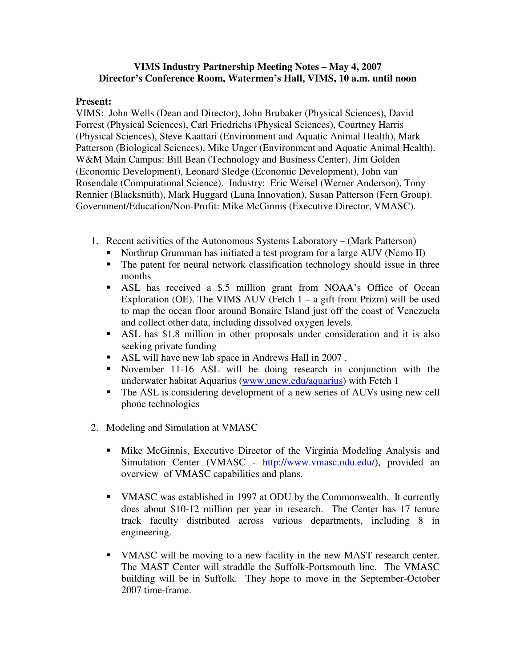## **VIMS Industry Partnership Meeting Notes – May 4, 2007 Director's Conference Room, Watermen's Hall, VIMS, 10 a.m. until noon**

## **Present:**

VIMS: John Wells (Dean and Director), John Brubaker (Physical Sciences), David Forrest (Physical Sciences), Carl Friedrichs (Physical Sciences), Courtney Harris (Physical Sciences), Steve Kaattari (Environment and Aquatic Animal Health), Mark Patterson (Biological Sciences), Mike Unger (Environment and Aquatic Animal Health). W&M Main Campus: Bill Bean (Technology and Business Center), Jim Golden (Economic Development), Leonard Sledge (Economic Development), John van Rosendale (Computational Science). Industry: Eric Weisel (Werner Anderson), Tony Rennier (Blacksmith), Mark Huggard (Luna Innovation), Susan Patterson (Fern Group). Government/Education/Non-Profit: Mike McGinnis (Executive Director, VMASC).

- 1. Recent activities of the Autonomous Systems Laboratory (Mark Patterson)
	- Northrup Grumman has initiated a test program for a large AUV (Nemo II)
	- The patent for neural network classification technology should issue in three months
	- ASL has received a \$.5 million grant from NOAA's Office of Ocean Exploration (OE). The VIMS AUV (Fetch  $1 - a$  gift from Prizm) will be used to map the ocean floor around Bonaire Island just off the coast of Venezuela and collect other data, including dissolved oxygen levels.
	- ASL has \$1.8 million in other proposals under consideration and it is also seeking private funding
	- ASL will have new lab space in Andrews Hall in 2007.
	- November 11-16 ASL will be doing research in conjunction with the underwater habitat Aquarius (www.uncw.edu/aquarius) with Fetch 1
	- The ASL is considering development of a new series of AUVs using new cell phone technologies
- 2. Modeling and Simulation at VMASC
	- Mike McGinnis, Executive Director of the Virginia Modeling Analysis and Simulation Center (VMASC - http://www.vmasc.odu.edu/), provided an overview of VMASC capabilities and plans.
	- VMASC was established in 1997 at ODU by the Commonwealth. It currently does about \$10-12 million per year in research. The Center has 17 tenure track faculty distributed across various departments, including 8 in engineering.
	- VMASC will be moving to a new facility in the new MAST research center. The MAST Center will straddle the Suffolk-Portsmouth line. The VMASC building will be in Suffolk. They hope to move in the September-October 2007 time-frame.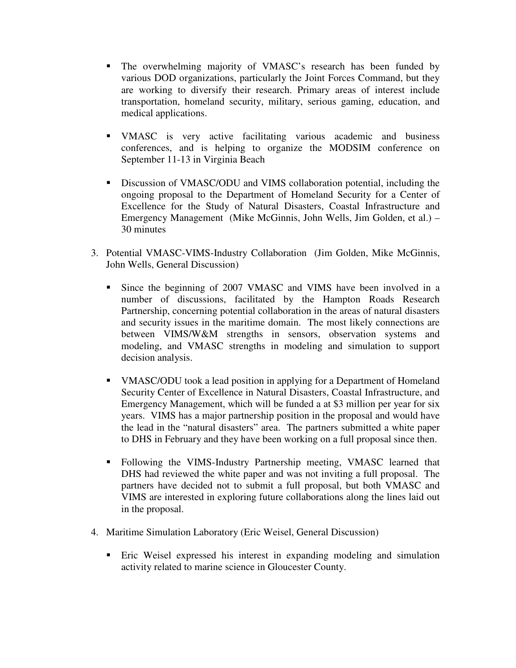- The overwhelming majority of VMASC's research has been funded by various DOD organizations, particularly the Joint Forces Command, but they are working to diversify their research. Primary areas of interest include transportation, homeland security, military, serious gaming, education, and medical applications.
- VMASC is very active facilitating various academic and business conferences, and is helping to organize the MODSIM conference on September 11-13 in Virginia Beach
- Discussion of VMASC/ODU and VIMS collaboration potential, including the ongoing proposal to the Department of Homeland Security for a Center of Excellence for the Study of Natural Disasters, Coastal Infrastructure and Emergency Management (Mike McGinnis, John Wells, Jim Golden, et al.) – 30 minutes
- 3. Potential VMASC-VIMS-Industry Collaboration (Jim Golden, Mike McGinnis, John Wells, General Discussion)
	- Since the beginning of 2007 VMASC and VIMS have been involved in a number of discussions, facilitated by the Hampton Roads Research Partnership, concerning potential collaboration in the areas of natural disasters and security issues in the maritime domain. The most likely connections are between VIMS/W&M strengths in sensors, observation systems and modeling, and VMASC strengths in modeling and simulation to support decision analysis.
	- VMASC/ODU took a lead position in applying for a Department of Homeland Security Center of Excellence in Natural Disasters, Coastal Infrastructure, and Emergency Management, which will be funded a at \$3 million per year for six years. VIMS has a major partnership position in the proposal and would have the lead in the "natural disasters" area. The partners submitted a white paper to DHS in February and they have been working on a full proposal since then.
	- Following the VIMS-Industry Partnership meeting, VMASC learned that DHS had reviewed the white paper and was not inviting a full proposal. The partners have decided not to submit a full proposal, but both VMASC and VIMS are interested in exploring future collaborations along the lines laid out in the proposal.
- 4. Maritime Simulation Laboratory (Eric Weisel, General Discussion)
	- Eric Weisel expressed his interest in expanding modeling and simulation activity related to marine science in Gloucester County.